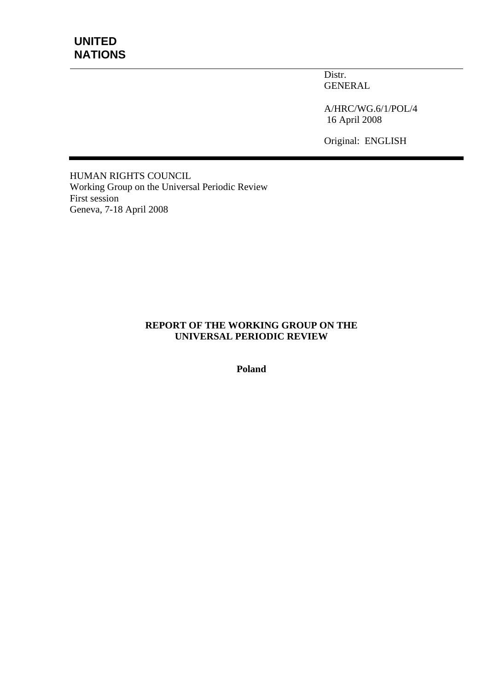Distr. GENERAL

A/HRC/WG.6/1/POL/4 16 April 2008

Original: ENGLISH

HUMAN RIGHTS COUNCIL Working Group on the Universal Periodic Review First session Geneva, 7-18 April 2008

#### **REPORT OF THE WORKING GROUP ON THE UNIVERSAL PERIODIC REVIEW**

**Poland**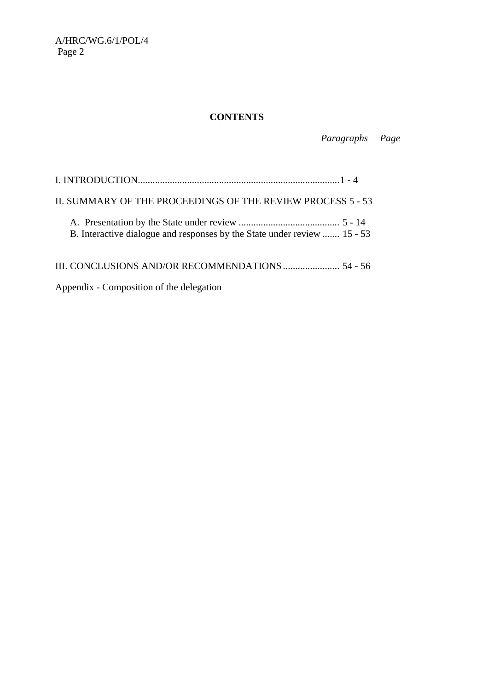A/HRC/WG.6/1/POL/4 Page 2

# **CONTENTS**

 *Paragraphs Page* 

| II. SUMMARY OF THE PROCEEDINGS OF THE REVIEW PROCESS 5 - 53              |  |
|--------------------------------------------------------------------------|--|
| B. Interactive dialogue and responses by the State under review  15 - 53 |  |
|                                                                          |  |

Appendix - Composition of the delegation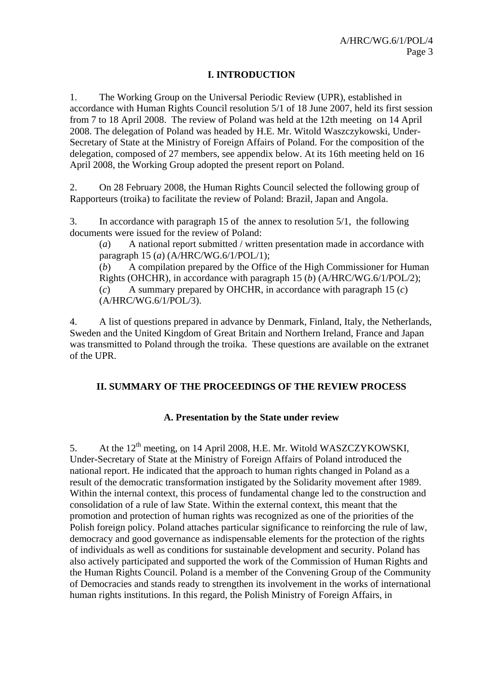# **I. INTRODUCTION**

1. The Working Group on the Universal Periodic Review (UPR), established in accordance with Human Rights Council resolution 5/1 of 18 June 2007, held its first session from 7 to 18 April 2008. The review of Poland was held at the 12th meeting on 14 April 2008. The delegation of Poland was headed by H.E. Mr. Witold Waszczykowski, Under-Secretary of State at the Ministry of Foreign Affairs of Poland. For the composition of the delegation, composed of 27 members, see appendix below. At its 16th meeting held on 16 April 2008, the Working Group adopted the present report on Poland.

2. On 28 February 2008, the Human Rights Council selected the following group of Rapporteurs (troika) to facilitate the review of Poland: Brazil, Japan and Angola.

3. In accordance with paragraph 15 of the annex to resolution 5/1, the following documents were issued for the review of Poland:

(*a*) A national report submitted / written presentation made in accordance with paragraph 15 (*a*) (A/HRC/WG.6/1/POL/1);

(*b*) A compilation prepared by the Office of the High Commissioner for Human Rights (OHCHR), in accordance with paragraph 15 (*b*) (A/HRC/WG.6/1/POL/2); (*c*) A summary prepared by OHCHR, in accordance with paragraph 15 (*c*) (A/HRC/WG.6/1/POL/3).

4. A list of questions prepared in advance by Denmark, Finland, Italy, the Netherlands, Sweden and the United Kingdom of Great Britain and Northern Ireland, France and Japan was transmitted to Poland through the troika. These questions are available on the extranet of the UPR.

# **II. SUMMARY OF THE PROCEEDINGS OF THE REVIEW PROCESS**

# **A. Presentation by the State under review**

5. At the 12<sup>th</sup> meeting, on 14 April 2008, H.E. Mr. Witold WASZCZYKOWSKI, Under-Secretary of State at the Ministry of Foreign Affairs of Poland introduced the national report. He indicated that the approach to human rights changed in Poland as a result of the democratic transformation instigated by the Solidarity movement after 1989. Within the internal context, this process of fundamental change led to the construction and consolidation of a rule of law State. Within the external context, this meant that the promotion and protection of human rights was recognized as one of the priorities of the Polish foreign policy. Poland attaches particular significance to reinforcing the rule of law, democracy and good governance as indispensable elements for the protection of the rights of individuals as well as conditions for sustainable development and security. Poland has also actively participated and supported the work of the Commission of Human Rights and the Human Rights Council. Poland is a member of the Convening Group of the Community of Democracies and stands ready to strengthen its involvement in the works of international human rights institutions. In this regard, the Polish Ministry of Foreign Affairs, in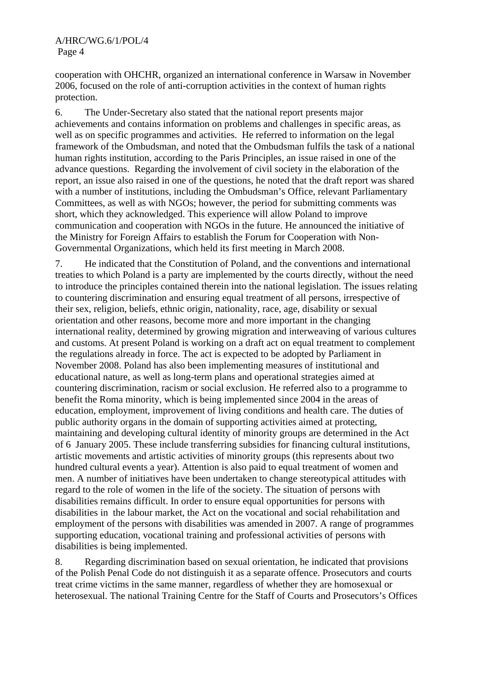cooperation with OHCHR, organized an international conference in Warsaw in November 2006, focused on the role of anti-corruption activities in the context of human rights protection.

6. The Under-Secretary also stated that the national report presents major achievements and contains information on problems and challenges in specific areas, as well as on specific programmes and activities. He referred to information on the legal framework of the Ombudsman, and noted that the Ombudsman fulfils the task of a national human rights institution, according to the Paris Principles, an issue raised in one of the advance questions. Regarding the involvement of civil society in the elaboration of the report, an issue also raised in one of the questions, he noted that the draft report was shared with a number of institutions, including the Ombudsman's Office, relevant Parliamentary Committees, as well as with NGOs; however, the period for submitting comments was short, which they acknowledged. This experience will allow Poland to improve communication and cooperation with NGOs in the future. He announced the initiative of the Ministry for Foreign Affairs to establish the Forum for Cooperation with Non-Governmental Organizations, which held its first meeting in March 2008.

7. He indicated that the Constitution of Poland, and the conventions and international treaties to which Poland is a party are implemented by the courts directly, without the need to introduce the principles contained therein into the national legislation. The issues relating to countering discrimination and ensuring equal treatment of all persons, irrespective of their sex, religion, beliefs, ethnic origin, nationality, race, age, disability or sexual orientation and other reasons, become more and more important in the changing international reality, determined by growing migration and interweaving of various cultures and customs. At present Poland is working on a draft act on equal treatment to complement the regulations already in force. The act is expected to be adopted by Parliament in November 2008. Poland has also been implementing measures of institutional and educational nature, as well as long-term plans and operational strategies aimed at countering discrimination, racism or social exclusion. He referred also to a programme to benefit the Roma minority, which is being implemented since 2004 in the areas of education, employment, improvement of living conditions and health care. The duties of public authority organs in the domain of supporting activities aimed at protecting, maintaining and developing cultural identity of minority groups are determined in the Act of 6 January 2005. These include transferring subsidies for financing cultural institutions, artistic movements and artistic activities of minority groups (this represents about two hundred cultural events a year). Attention is also paid to equal treatment of women and men. A number of initiatives have been undertaken to change stereotypical attitudes with regard to the role of women in the life of the society. The situation of persons with disabilities remains difficult. In order to ensure equal opportunities for persons with disabilities in the labour market, the Act on the vocational and social rehabilitation and employment of the persons with disabilities was amended in 2007. A range of programmes supporting education, vocational training and professional activities of persons with disabilities is being implemented.

8. Regarding discrimination based on sexual orientation, he indicated that provisions of the Polish Penal Code do not distinguish it as a separate offence. Prosecutors and courts treat crime victims in the same manner, regardless of whether they are homosexual or heterosexual. The national Training Centre for the Staff of Courts and Prosecutors's Offices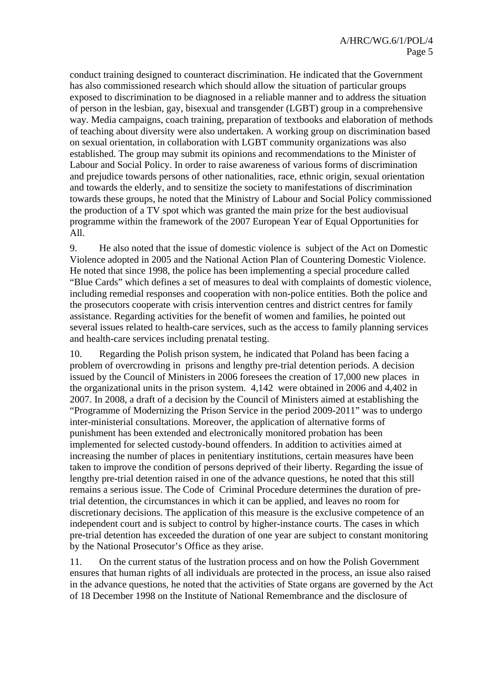conduct training designed to counteract discrimination. He indicated that the Government has also commissioned research which should allow the situation of particular groups exposed to discrimination to be diagnosed in a reliable manner and to address the situation of person in the lesbian, gay, bisexual and transgender (LGBT) group in a comprehensive way. Media campaigns, coach training, preparation of textbooks and elaboration of methods of teaching about diversity were also undertaken. A working group on discrimination based on sexual orientation, in collaboration with LGBT community organizations was also established. The group may submit its opinions and recommendations to the Minister of Labour and Social Policy. In order to raise awareness of various forms of discrimination and prejudice towards persons of other nationalities, race, ethnic origin, sexual orientation and towards the elderly, and to sensitize the society to manifestations of discrimination towards these groups, he noted that the Ministry of Labour and Social Policy commissioned the production of a TV spot which was granted the main prize for the best audiovisual programme within the framework of the 2007 European Year of Equal Opportunities for All.

9. He also noted that the issue of domestic violence is subject of the Act on Domestic Violence adopted in 2005 and the National Action Plan of Countering Domestic Violence. He noted that since 1998, the police has been implementing a special procedure called "Blue Cards" which defines a set of measures to deal with complaints of domestic violence, including remedial responses and cooperation with non-police entities. Both the police and the prosecutors cooperate with crisis intervention centres and district centres for family assistance. Regarding activities for the benefit of women and families, he pointed out several issues related to health-care services, such as the access to family planning services and health-care services including prenatal testing.

10. Regarding the Polish prison system, he indicated that Poland has been facing a problem of overcrowding in prisons and lengthy pre-trial detention periods. A decision issued by the Council of Ministers in 2006 foresees the creation of 17,000 new places in the organizational units in the prison system. 4,142 were obtained in 2006 and 4,402 in 2007. In 2008, a draft of a decision by the Council of Ministers aimed at establishing the "Programme of Modernizing the Prison Service in the period 2009-2011" was to undergo inter-ministerial consultations. Moreover, the application of alternative forms of punishment has been extended and electronically monitored probation has been implemented for selected custody-bound offenders. In addition to activities aimed at increasing the number of places in penitentiary institutions, certain measures have been taken to improve the condition of persons deprived of their liberty. Regarding the issue of lengthy pre-trial detention raised in one of the advance questions, he noted that this still remains a serious issue. The Code of Criminal Procedure determines the duration of pretrial detention, the circumstances in which it can be applied, and leaves no room for discretionary decisions. The application of this measure is the exclusive competence of an independent court and is subject to control by higher-instance courts. The cases in which pre-trial detention has exceeded the duration of one year are subject to constant monitoring by the National Prosecutor's Office as they arise.

11. On the current status of the lustration process and on how the Polish Government ensures that human rights of all individuals are protected in the process, an issue also raised in the advance questions, he noted that the activities of State organs are governed by the Act of 18 December 1998 on the Institute of National Remembrance and the disclosure of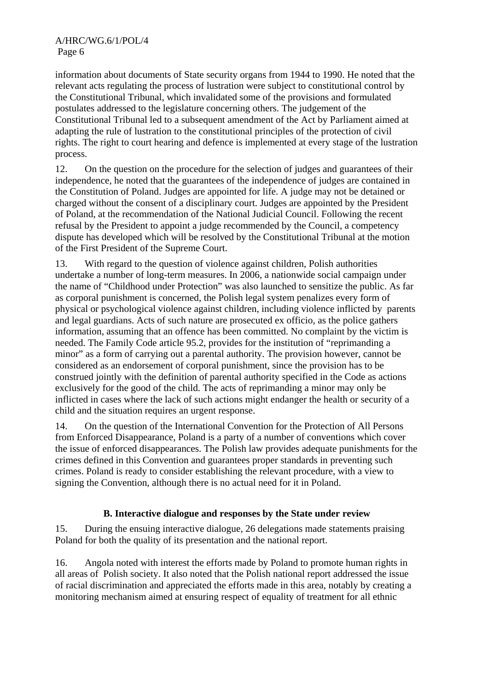information about documents of State security organs from 1944 to 1990. He noted that the relevant acts regulating the process of lustration were subject to constitutional control by the Constitutional Tribunal, which invalidated some of the provisions and formulated postulates addressed to the legislature concerning others. The judgement of the Constitutional Tribunal led to a subsequent amendment of the Act by Parliament aimed at adapting the rule of lustration to the constitutional principles of the protection of civil rights. The right to court hearing and defence is implemented at every stage of the lustration process.

12. On the question on the procedure for the selection of judges and guarantees of their independence, he noted that the guarantees of the independence of judges are contained in the Constitution of Poland. Judges are appointed for life. A judge may not be detained or charged without the consent of a disciplinary court. Judges are appointed by the President of Poland, at the recommendation of the National Judicial Council. Following the recent refusal by the President to appoint a judge recommended by the Council, a competency dispute has developed which will be resolved by the Constitutional Tribunal at the motion of the First President of the Supreme Court.

13. With regard to the question of violence against children, Polish authorities undertake a number of long-term measures. In 2006, a nationwide social campaign under the name of "Childhood under Protection" was also launched to sensitize the public. As far as corporal punishment is concerned, the Polish legal system penalizes every form of physical or psychological violence against children, including violence inflicted by parents and legal guardians. Acts of such nature are prosecuted ex officio, as the police gathers information, assuming that an offence has been committed. No complaint by the victim is needed. The Family Code article 95.2, provides for the institution of "reprimanding a minor" as a form of carrying out a parental authority. The provision however, cannot be considered as an endorsement of corporal punishment, since the provision has to be construed jointly with the definition of parental authority specified in the Code as actions exclusively for the good of the child. The acts of reprimanding a minor may only be inflicted in cases where the lack of such actions might endanger the health or security of a child and the situation requires an urgent response.

14. On the question of the International Convention for the Protection of All Persons from Enforced Disappearance, Poland is a party of a number of conventions which cover the issue of enforced disappearances. The Polish law provides adequate punishments for the crimes defined in this Convention and guarantees proper standards in preventing such crimes. Poland is ready to consider establishing the relevant procedure, with a view to signing the Convention, although there is no actual need for it in Poland.

# **B. Interactive dialogue and responses by the State under review**

15. During the ensuing interactive dialogue, 26 delegations made statements praising Poland for both the quality of its presentation and the national report.

16. Angola noted with interest the efforts made by Poland to promote human rights in all areas of Polish society. It also noted that the Polish national report addressed the issue of racial discrimination and appreciated the efforts made in this area, notably by creating a monitoring mechanism aimed at ensuring respect of equality of treatment for all ethnic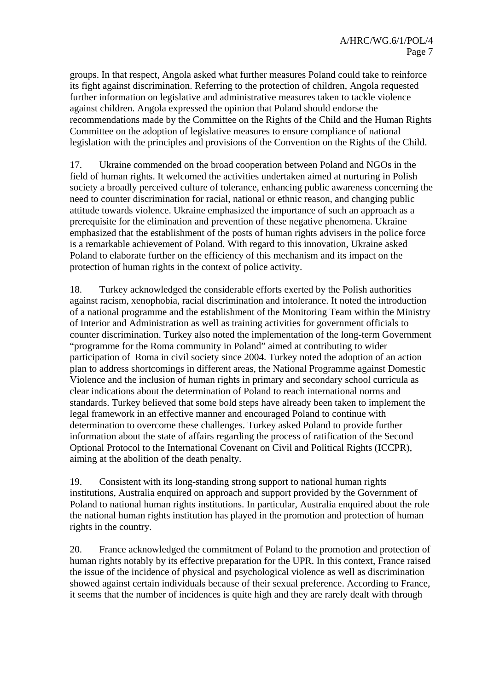groups. In that respect, Angola asked what further measures Poland could take to reinforce its fight against discrimination. Referring to the protection of children, Angola requested further information on legislative and administrative measures taken to tackle violence against children. Angola expressed the opinion that Poland should endorse the recommendations made by the Committee on the Rights of the Child and the Human Rights Committee on the adoption of legislative measures to ensure compliance of national legislation with the principles and provisions of the Convention on the Rights of the Child.

17. Ukraine commended on the broad cooperation between Poland and NGOs in the field of human rights. It welcomed the activities undertaken aimed at nurturing in Polish society a broadly perceived culture of tolerance, enhancing public awareness concerning the need to counter discrimination for racial, national or ethnic reason, and changing public attitude towards violence. Ukraine emphasized the importance of such an approach as a prerequisite for the elimination and prevention of these negative phenomena. Ukraine emphasized that the establishment of the posts of human rights advisers in the police force is a remarkable achievement of Poland. With regard to this innovation, Ukraine asked Poland to elaborate further on the efficiency of this mechanism and its impact on the protection of human rights in the context of police activity.

18. Turkey acknowledged the considerable efforts exerted by the Polish authorities against racism, xenophobia, racial discrimination and intolerance. It noted the introduction of a national programme and the establishment of the Monitoring Team within the Ministry of Interior and Administration as well as training activities for government officials to counter discrimination. Turkey also noted the implementation of the long-term Government "programme for the Roma community in Poland" aimed at contributing to wider participation of Roma in civil society since 2004. Turkey noted the adoption of an action plan to address shortcomings in different areas, the National Programme against Domestic Violence and the inclusion of human rights in primary and secondary school curricula as clear indications about the determination of Poland to reach international norms and standards. Turkey believed that some bold steps have already been taken to implement the legal framework in an effective manner and encouraged Poland to continue with determination to overcome these challenges. Turkey asked Poland to provide further information about the state of affairs regarding the process of ratification of the Second Optional Protocol to the International Covenant on Civil and Political Rights (ICCPR), aiming at the abolition of the death penalty.

19. Consistent with its long-standing strong support to national human rights institutions, Australia enquired on approach and support provided by the Government of Poland to national human rights institutions. In particular, Australia enquired about the role the national human rights institution has played in the promotion and protection of human rights in the country.

20. France acknowledged the commitment of Poland to the promotion and protection of human rights notably by its effective preparation for the UPR. In this context, France raised the issue of the incidence of physical and psychological violence as well as discrimination showed against certain individuals because of their sexual preference. According to France, it seems that the number of incidences is quite high and they are rarely dealt with through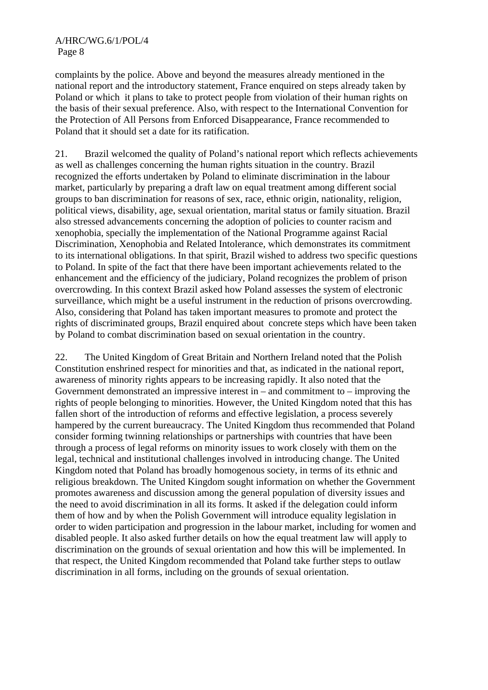complaints by the police. Above and beyond the measures already mentioned in the national report and the introductory statement, France enquired on steps already taken by Poland or which it plans to take to protect people from violation of their human rights on the basis of their sexual preference. Also, with respect to the International Convention for the Protection of All Persons from Enforced Disappearance, France recommended to Poland that it should set a date for its ratification.

21. Brazil welcomed the quality of Poland's national report which reflects achievements as well as challenges concerning the human rights situation in the country. Brazil recognized the efforts undertaken by Poland to eliminate discrimination in the labour market, particularly by preparing a draft law on equal treatment among different social groups to ban discrimination for reasons of sex, race, ethnic origin, nationality, religion, political views, disability, age, sexual orientation, marital status or family situation. Brazil also stressed advancements concerning the adoption of policies to counter racism and xenophobia, specially the implementation of the National Programme against Racial Discrimination, Xenophobia and Related Intolerance, which demonstrates its commitment to its international obligations. In that spirit, Brazil wished to address two specific questions to Poland. In spite of the fact that there have been important achievements related to the enhancement and the efficiency of the judiciary, Poland recognizes the problem of prison overcrowding. In this context Brazil asked how Poland assesses the system of electronic surveillance, which might be a useful instrument in the reduction of prisons overcrowding. Also, considering that Poland has taken important measures to promote and protect the rights of discriminated groups, Brazil enquired about concrete steps which have been taken by Poland to combat discrimination based on sexual orientation in the country.

22. The United Kingdom of Great Britain and Northern Ireland noted that the Polish Constitution enshrined respect for minorities and that, as indicated in the national report, awareness of minority rights appears to be increasing rapidly. It also noted that the Government demonstrated an impressive interest in – and commitment to – improving the rights of people belonging to minorities. However, the United Kingdom noted that this has fallen short of the introduction of reforms and effective legislation, a process severely hampered by the current bureaucracy. The United Kingdom thus recommended that Poland consider forming twinning relationships or partnerships with countries that have been through a process of legal reforms on minority issues to work closely with them on the legal, technical and institutional challenges involved in introducing change. The United Kingdom noted that Poland has broadly homogenous society, in terms of its ethnic and religious breakdown. The United Kingdom sought information on whether the Government promotes awareness and discussion among the general population of diversity issues and the need to avoid discrimination in all its forms. It asked if the delegation could inform them of how and by when the Polish Government will introduce equality legislation in order to widen participation and progression in the labour market, including for women and disabled people. It also asked further details on how the equal treatment law will apply to discrimination on the grounds of sexual orientation and how this will be implemented. In that respect, the United Kingdom recommended that Poland take further steps to outlaw discrimination in all forms, including on the grounds of sexual orientation.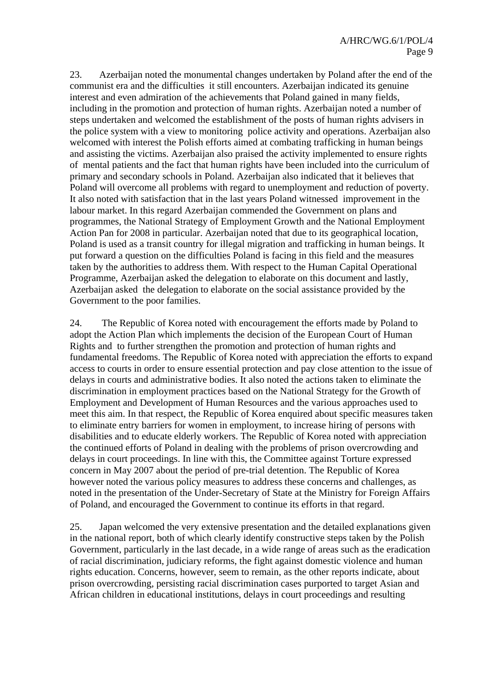#### A/HRC/WG.6/1/POL/4 Page 9

23. Azerbaijan noted the monumental changes undertaken by Poland after the end of the communist era and the difficulties it still encounters. Azerbaijan indicated its genuine interest and even admiration of the achievements that Poland gained in many fields, including in the promotion and protection of human rights. Azerbaijan noted a number of steps undertaken and welcomed the establishment of the posts of human rights advisers in the police system with a view to monitoring police activity and operations. Azerbaijan also welcomed with interest the Polish efforts aimed at combating trafficking in human beings and assisting the victims. Azerbaijan also praised the activity implemented to ensure rights of mental patients and the fact that human rights have been included into the curriculum of primary and secondary schools in Poland. Azerbaijan also indicated that it believes that Poland will overcome all problems with regard to unemployment and reduction of poverty. It also noted with satisfaction that in the last years Poland witnessed improvement in the labour market. In this regard Azerbaijan commended the Government on plans and programmes, the National Strategy of Employment Growth and the National Employment Action Pan for 2008 in particular. Azerbaijan noted that due to its geographical location, Poland is used as a transit country for illegal migration and trafficking in human beings. It put forward a question on the difficulties Poland is facing in this field and the measures taken by the authorities to address them. With respect to the Human Capital Operational Programme, Azerbaijan asked the delegation to elaborate on this document and lastly, Azerbaijan asked the delegation to elaborate on the social assistance provided by the Government to the poor families.

24. The Republic of Korea noted with encouragement the efforts made by Poland to adopt the Action Plan which implements the decision of the European Court of Human Rights and to further strengthen the promotion and protection of human rights and fundamental freedoms. The Republic of Korea noted with appreciation the efforts to expand access to courts in order to ensure essential protection and pay close attention to the issue of delays in courts and administrative bodies. It also noted the actions taken to eliminate the discrimination in employment practices based on the National Strategy for the Growth of Employment and Development of Human Resources and the various approaches used to meet this aim. In that respect, the Republic of Korea enquired about specific measures taken to eliminate entry barriers for women in employment, to increase hiring of persons with disabilities and to educate elderly workers. The Republic of Korea noted with appreciation the continued efforts of Poland in dealing with the problems of prison overcrowding and delays in court proceedings. In line with this, the Committee against Torture expressed concern in May 2007 about the period of pre-trial detention. The Republic of Korea however noted the various policy measures to address these concerns and challenges, as noted in the presentation of the Under-Secretary of State at the Ministry for Foreign Affairs of Poland, and encouraged the Government to continue its efforts in that regard.

25. Japan welcomed the very extensive presentation and the detailed explanations given in the national report, both of which clearly identify constructive steps taken by the Polish Government, particularly in the last decade, in a wide range of areas such as the eradication of racial discrimination, judiciary reforms, the fight against domestic violence and human rights education. Concerns, however, seem to remain, as the other reports indicate, about prison overcrowding, persisting racial discrimination cases purported to target Asian and African children in educational institutions, delays in court proceedings and resulting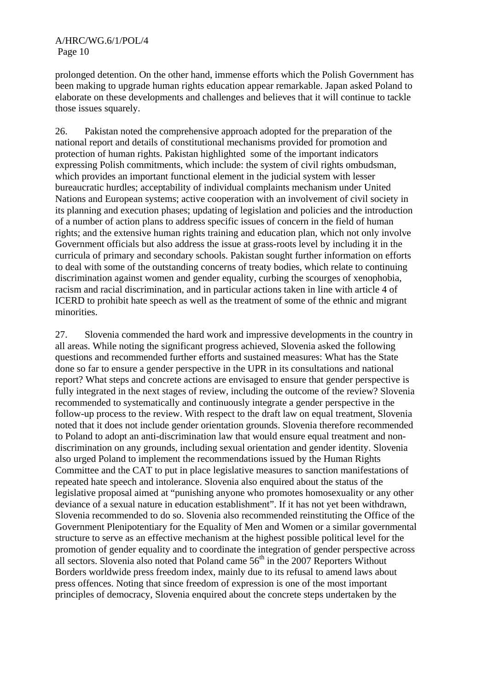prolonged detention. On the other hand, immense efforts which the Polish Government has been making to upgrade human rights education appear remarkable. Japan asked Poland to elaborate on these developments and challenges and believes that it will continue to tackle those issues squarely.

26. Pakistan noted the comprehensive approach adopted for the preparation of the national report and details of constitutional mechanisms provided for promotion and protection of human rights. Pakistan highlighted some of the important indicators expressing Polish commitments, which include: the system of civil rights ombudsman, which provides an important functional element in the judicial system with lesser bureaucratic hurdles; acceptability of individual complaints mechanism under United Nations and European systems; active cooperation with an involvement of civil society in its planning and execution phases; updating of legislation and policies and the introduction of a number of action plans to address specific issues of concern in the field of human rights; and the extensive human rights training and education plan, which not only involve Government officials but also address the issue at grass-roots level by including it in the curricula of primary and secondary schools. Pakistan sought further information on efforts to deal with some of the outstanding concerns of treaty bodies, which relate to continuing discrimination against women and gender equality, curbing the scourges of xenophobia, racism and racial discrimination, and in particular actions taken in line with article 4 of ICERD to prohibit hate speech as well as the treatment of some of the ethnic and migrant minorities.

27. Slovenia commended the hard work and impressive developments in the country in all areas. While noting the significant progress achieved, Slovenia asked the following questions and recommended further efforts and sustained measures: What has the State done so far to ensure a gender perspective in the UPR in its consultations and national report? What steps and concrete actions are envisaged to ensure that gender perspective is fully integrated in the next stages of review, including the outcome of the review? Slovenia recommended to systematically and continuously integrate a gender perspective in the follow-up process to the review. With respect to the draft law on equal treatment, Slovenia noted that it does not include gender orientation grounds. Slovenia therefore recommended to Poland to adopt an anti-discrimination law that would ensure equal treatment and nondiscrimination on any grounds, including sexual orientation and gender identity. Slovenia also urged Poland to implement the recommendations issued by the Human Rights Committee and the CAT to put in place legislative measures to sanction manifestations of repeated hate speech and intolerance. Slovenia also enquired about the status of the legislative proposal aimed at "punishing anyone who promotes homosexuality or any other deviance of a sexual nature in education establishment". If it has not yet been withdrawn, Slovenia recommended to do so. Slovenia also recommended reinstituting the Office of the Government Plenipotentiary for the Equality of Men and Women or a similar governmental structure to serve as an effective mechanism at the highest possible political level for the promotion of gender equality and to coordinate the integration of gender perspective across all sectors. Slovenia also noted that Poland came  $56<sup>th</sup>$  in the 2007 Reporters Without Borders worldwide press freedom index, mainly due to its refusal to amend laws about press offences. Noting that since freedom of expression is one of the most important principles of democracy, Slovenia enquired about the concrete steps undertaken by the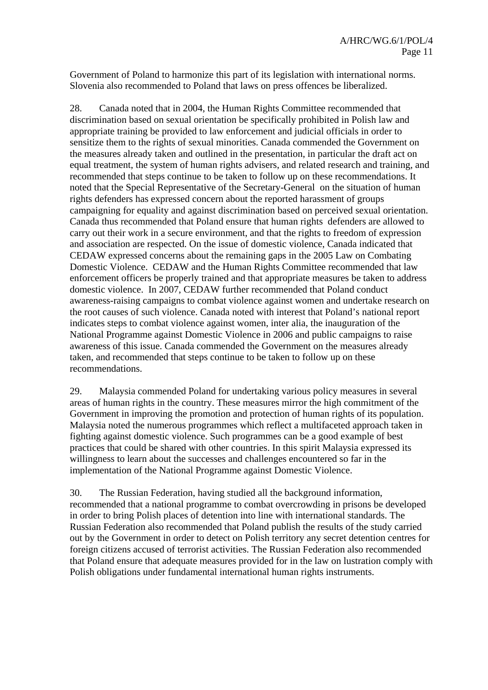Government of Poland to harmonize this part of its legislation with international norms. Slovenia also recommended to Poland that laws on press offences be liberalized.

28. Canada noted that in 2004, the Human Rights Committee recommended that discrimination based on sexual orientation be specifically prohibited in Polish law and appropriate training be provided to law enforcement and judicial officials in order to sensitize them to the rights of sexual minorities. Canada commended the Government on the measures already taken and outlined in the presentation, in particular the draft act on equal treatment, the system of human rights advisers, and related research and training, and recommended that steps continue to be taken to follow up on these recommendations. It noted that the Special Representative of the Secretary-General on the situation of human rights defenders has expressed concern about the reported harassment of groups campaigning for equality and against discrimination based on perceived sexual orientation. Canada thus recommended that Poland ensure that human rights defenders are allowed to carry out their work in a secure environment, and that the rights to freedom of expression and association are respected. On the issue of domestic violence, Canada indicated that CEDAW expressed concerns about the remaining gaps in the 2005 Law on Combating Domestic Violence. CEDAW and the Human Rights Committee recommended that law enforcement officers be properly trained and that appropriate measures be taken to address domestic violence. In 2007, CEDAW further recommended that Poland conduct awareness-raising campaigns to combat violence against women and undertake research on the root causes of such violence. Canada noted with interest that Poland's national report indicates steps to combat violence against women, inter alia, the inauguration of the National Programme against Domestic Violence in 2006 and public campaigns to raise awareness of this issue. Canada commended the Government on the measures already taken, and recommended that steps continue to be taken to follow up on these recommendations.

29. Malaysia commended Poland for undertaking various policy measures in several areas of human rights in the country. These measures mirror the high commitment of the Government in improving the promotion and protection of human rights of its population. Malaysia noted the numerous programmes which reflect a multifaceted approach taken in fighting against domestic violence. Such programmes can be a good example of best practices that could be shared with other countries. In this spirit Malaysia expressed its willingness to learn about the successes and challenges encountered so far in the implementation of the National Programme against Domestic Violence.

30. The Russian Federation, having studied all the background information, recommended that a national programme to combat overcrowding in prisons be developed in order to bring Polish places of detention into line with international standards. The Russian Federation also recommended that Poland publish the results of the study carried out by the Government in order to detect on Polish territory any secret detention centres for foreign citizens accused of terrorist activities. The Russian Federation also recommended that Poland ensure that adequate measures provided for in the law on lustration comply with Polish obligations under fundamental international human rights instruments.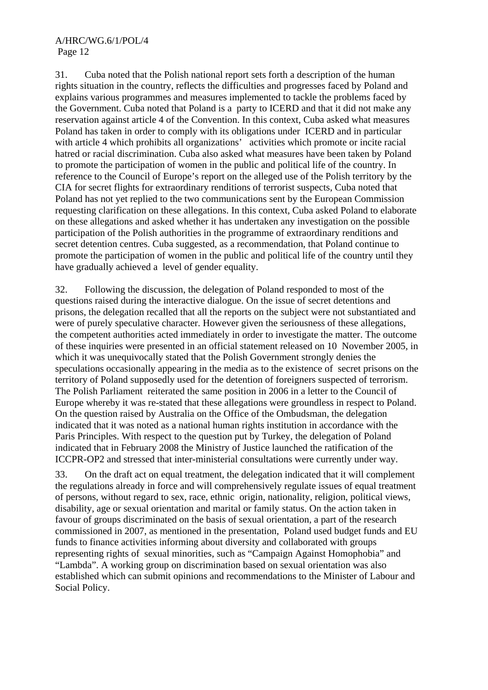31. Cuba noted that the Polish national report sets forth a description of the human rights situation in the country, reflects the difficulties and progresses faced by Poland and explains various programmes and measures implemented to tackle the problems faced by the Government. Cuba noted that Poland is a party to ICERD and that it did not make any reservation against article 4 of the Convention. In this context, Cuba asked what measures Poland has taken in order to comply with its obligations under ICERD and in particular with article 4 which prohibits all organizations' activities which promote or incite racial hatred or racial discrimination. Cuba also asked what measures have been taken by Poland to promote the participation of women in the public and political life of the country. In reference to the Council of Europe's report on the alleged use of the Polish territory by the CIA for secret flights for extraordinary renditions of terrorist suspects, Cuba noted that Poland has not yet replied to the two communications sent by the European Commission requesting clarification on these allegations. In this context, Cuba asked Poland to elaborate on these allegations and asked whether it has undertaken any investigation on the possible participation of the Polish authorities in the programme of extraordinary renditions and secret detention centres. Cuba suggested, as a recommendation, that Poland continue to promote the participation of women in the public and political life of the country until they have gradually achieved a level of gender equality.

32. Following the discussion, the delegation of Poland responded to most of the questions raised during the interactive dialogue. On the issue of secret detentions and prisons, the delegation recalled that all the reports on the subject were not substantiated and were of purely speculative character. However given the seriousness of these allegations, the competent authorities acted immediately in order to investigate the matter. The outcome of these inquiries were presented in an official statement released on 10 November 2005, in which it was unequivocally stated that the Polish Government strongly denies the speculations occasionally appearing in the media as to the existence of secret prisons on the territory of Poland supposedly used for the detention of foreigners suspected of terrorism. The Polish Parliament reiterated the same position in 2006 in a letter to the Council of Europe whereby it was re-stated that these allegations were groundless in respect to Poland. On the question raised by Australia on the Office of the Ombudsman, the delegation indicated that it was noted as a national human rights institution in accordance with the Paris Principles. With respect to the question put by Turkey, the delegation of Poland indicated that in February 2008 the Ministry of Justice launched the ratification of the ICCPR-OP2 and stressed that inter-ministerial consultations were currently under way.

33. On the draft act on equal treatment, the delegation indicated that it will complement the regulations already in force and will comprehensively regulate issues of equal treatment of persons, without regard to sex, race, ethnic origin, nationality, religion, political views, disability, age or sexual orientation and marital or family status. On the action taken in favour of groups discriminated on the basis of sexual orientation, a part of the research commissioned in 2007, as mentioned in the presentation, Poland used budget funds and EU funds to finance activities informing about diversity and collaborated with groups representing rights of sexual minorities, such as "Campaign Against Homophobia" and "Lambda". A working group on discrimination based on sexual orientation was also established which can submit opinions and recommendations to the Minister of Labour and Social Policy.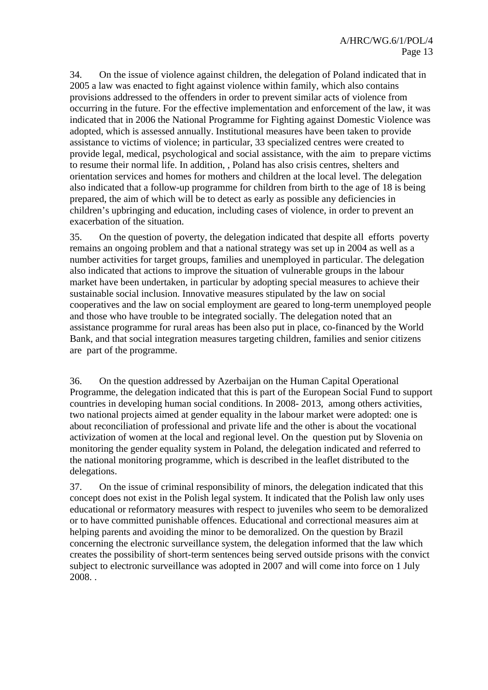34. On the issue of violence against children, the delegation of Poland indicated that in 2005 a law was enacted to fight against violence within family, which also contains provisions addressed to the offenders in order to prevent similar acts of violence from occurring in the future. For the effective implementation and enforcement of the law, it was indicated that in 2006 the National Programme for Fighting against Domestic Violence was adopted, which is assessed annually. Institutional measures have been taken to provide assistance to victims of violence; in particular, 33 specialized centres were created to provide legal, medical, psychological and social assistance, with the aim to prepare victims to resume their normal life. In addition, , Poland has also crisis centres, shelters and orientation services and homes for mothers and children at the local level. The delegation also indicated that a follow-up programme for children from birth to the age of 18 is being prepared, the aim of which will be to detect as early as possible any deficiencies in children's upbringing and education, including cases of violence, in order to prevent an exacerbation of the situation.

35. On the question of poverty, the delegation indicated that despite all efforts poverty remains an ongoing problem and that a national strategy was set up in 2004 as well as a number activities for target groups, families and unemployed in particular. The delegation also indicated that actions to improve the situation of vulnerable groups in the labour market have been undertaken, in particular by adopting special measures to achieve their sustainable social inclusion. Innovative measures stipulated by the law on social cooperatives and the law on social employment are geared to long-term unemployed people and those who have trouble to be integrated socially. The delegation noted that an assistance programme for rural areas has been also put in place, co-financed by the World Bank, and that social integration measures targeting children, families and senior citizens are part of the programme.

36. On the question addressed by Azerbaijan on the Human Capital Operational Programme, the delegation indicated that this is part of the European Social Fund to support countries in developing human social conditions. In 2008- 2013, among others activities, two national projects aimed at gender equality in the labour market were adopted: one is about reconciliation of professional and private life and the other is about the vocational activization of women at the local and regional level. On the question put by Slovenia on monitoring the gender equality system in Poland, the delegation indicated and referred to the national monitoring programme, which is described in the leaflet distributed to the delegations.

37. On the issue of criminal responsibility of minors, the delegation indicated that this concept does not exist in the Polish legal system. It indicated that the Polish law only uses educational or reformatory measures with respect to juveniles who seem to be demoralized or to have committed punishable offences. Educational and correctional measures aim at helping parents and avoiding the minor to be demoralized. On the question by Brazil concerning the electronic surveillance system, the delegation informed that the law which creates the possibility of short-term sentences being served outside prisons with the convict subject to electronic surveillance was adopted in 2007 and will come into force on 1 July 2008. .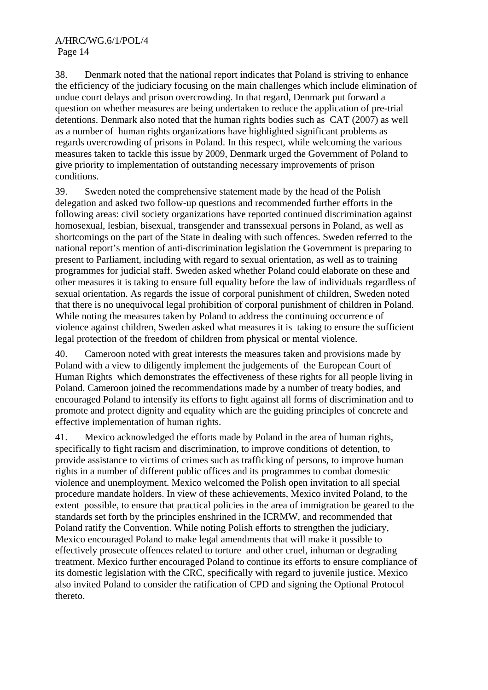38. Denmark noted that the national report indicates that Poland is striving to enhance the efficiency of the judiciary focusing on the main challenges which include elimination of undue court delays and prison overcrowding. In that regard, Denmark put forward a question on whether measures are being undertaken to reduce the application of pre-trial detentions. Denmark also noted that the human rights bodies such as CAT (2007) as well as a number of human rights organizations have highlighted significant problems as regards overcrowding of prisons in Poland. In this respect, while welcoming the various measures taken to tackle this issue by 2009, Denmark urged the Government of Poland to give priority to implementation of outstanding necessary improvements of prison conditions.

39. Sweden noted the comprehensive statement made by the head of the Polish delegation and asked two follow-up questions and recommended further efforts in the following areas: civil society organizations have reported continued discrimination against homosexual, lesbian, bisexual, transgender and transsexual persons in Poland, as well as shortcomings on the part of the State in dealing with such offences. Sweden referred to the national report's mention of anti-discrimination legislation the Government is preparing to present to Parliament, including with regard to sexual orientation, as well as to training programmes for judicial staff. Sweden asked whether Poland could elaborate on these and other measures it is taking to ensure full equality before the law of individuals regardless of sexual orientation. As regards the issue of corporal punishment of children, Sweden noted that there is no unequivocal legal prohibition of corporal punishment of children in Poland. While noting the measures taken by Poland to address the continuing occurrence of violence against children, Sweden asked what measures it is taking to ensure the sufficient legal protection of the freedom of children from physical or mental violence.

40. Cameroon noted with great interests the measures taken and provisions made by Poland with a view to diligently implement the judgements of the European Court of Human Rights which demonstrates the effectiveness of these rights for all people living in Poland. Cameroon joined the recommendations made by a number of treaty bodies, and encouraged Poland to intensify its efforts to fight against all forms of discrimination and to promote and protect dignity and equality which are the guiding principles of concrete and effective implementation of human rights.

41. Mexico acknowledged the efforts made by Poland in the area of human rights, specifically to fight racism and discrimination, to improve conditions of detention, to provide assistance to victims of crimes such as trafficking of persons, to improve human rights in a number of different public offices and its programmes to combat domestic violence and unemployment. Mexico welcomed the Polish open invitation to all special procedure mandate holders. In view of these achievements, Mexico invited Poland, to the extent possible, to ensure that practical policies in the area of immigration be geared to the standards set forth by the principles enshrined in the ICRMW, and recommended that Poland ratify the Convention. While noting Polish efforts to strengthen the judiciary, Mexico encouraged Poland to make legal amendments that will make it possible to effectively prosecute offences related to torture and other cruel, inhuman or degrading treatment. Mexico further encouraged Poland to continue its efforts to ensure compliance of its domestic legislation with the CRC, specifically with regard to juvenile justice. Mexico also invited Poland to consider the ratification of CPD and signing the Optional Protocol thereto.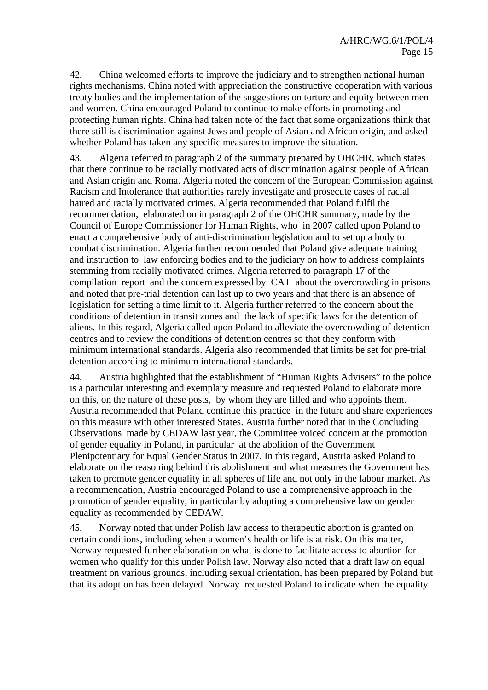42. China welcomed efforts to improve the judiciary and to strengthen national human rights mechanisms. China noted with appreciation the constructive cooperation with various treaty bodies and the implementation of the suggestions on torture and equity between men and women. China encouraged Poland to continue to make efforts in promoting and protecting human rights. China had taken note of the fact that some organizations think that there still is discrimination against Jews and people of Asian and African origin, and asked whether Poland has taken any specific measures to improve the situation.

43. Algeria referred to paragraph 2 of the summary prepared by OHCHR, which states that there continue to be racially motivated acts of discrimination against people of African and Asian origin and Roma. Algeria noted the concern of the European Commission against Racism and Intolerance that authorities rarely investigate and prosecute cases of racial hatred and racially motivated crimes. Algeria recommended that Poland fulfil the recommendation, elaborated on in paragraph 2 of the OHCHR summary, made by the Council of Europe Commissioner for Human Rights, who in 2007 called upon Poland to enact a comprehensive body of anti-discrimination legislation and to set up a body to combat discrimination. Algeria further recommended that Poland give adequate training and instruction to law enforcing bodies and to the judiciary on how to address complaints stemming from racially motivated crimes. Algeria referred to paragraph 17 of the compilation report and the concern expressed by CAT about the overcrowding in prisons and noted that pre-trial detention can last up to two years and that there is an absence of legislation for setting a time limit to it. Algeria further referred to the concern about the conditions of detention in transit zones and the lack of specific laws for the detention of aliens. In this regard, Algeria called upon Poland to alleviate the overcrowding of detention centres and to review the conditions of detention centres so that they conform with minimum international standards. Algeria also recommended that limits be set for pre-trial detention according to minimum international standards.

44. Austria highlighted that the establishment of "Human Rights Advisers" to the police is a particular interesting and exemplary measure and requested Poland to elaborate more on this, on the nature of these posts, by whom they are filled and who appoints them. Austria recommended that Poland continue this practice in the future and share experiences on this measure with other interested States. Austria further noted that in the Concluding Observations made by CEDAW last year, the Committee voiced concern at the promotion of gender equality in Poland, in particular at the abolition of the Government Plenipotentiary for Equal Gender Status in 2007. In this regard, Austria asked Poland to elaborate on the reasoning behind this abolishment and what measures the Government has taken to promote gender equality in all spheres of life and not only in the labour market. As a recommendation, Austria encouraged Poland to use a comprehensive approach in the promotion of gender equality, in particular by adopting a comprehensive law on gender equality as recommended by CEDAW.

45. Norway noted that under Polish law access to therapeutic abortion is granted on certain conditions, including when a women's health or life is at risk. On this matter, Norway requested further elaboration on what is done to facilitate access to abortion for women who qualify for this under Polish law. Norway also noted that a draft law on equal treatment on various grounds, including sexual orientation, has been prepared by Poland but that its adoption has been delayed. Norway requested Poland to indicate when the equality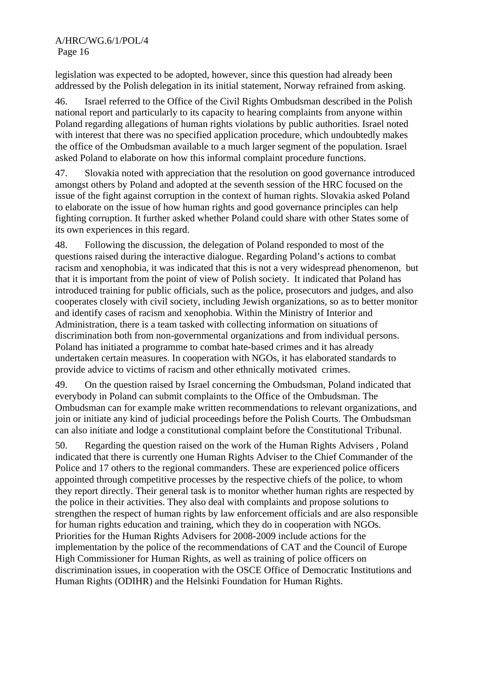#### A/HRC/WG.6/1/POL/4 Page 16

legislation was expected to be adopted, however, since this question had already been addressed by the Polish delegation in its initial statement, Norway refrained from asking.

46. Israel referred to the Office of the Civil Rights Ombudsman described in the Polish national report and particularly to its capacity to hearing complaints from anyone within Poland regarding allegations of human rights violations by public authorities. Israel noted with interest that there was no specified application procedure, which undoubtedly makes the office of the Ombudsman available to a much larger segment of the population. Israel asked Poland to elaborate on how this informal complaint procedure functions.

47. Slovakia noted with appreciation that the resolution on good governance introduced amongst others by Poland and adopted at the seventh session of the HRC focused on the issue of the fight against corruption in the context of human rights. Slovakia asked Poland to elaborate on the issue of how human rights and good governance principles can help fighting corruption. It further asked whether Poland could share with other States some of its own experiences in this regard.

48. Following the discussion, the delegation of Poland responded to most of the questions raised during the interactive dialogue. Regarding Poland's actions to combat racism and xenophobia, it was indicated that this is not a very widespread phenomenon, but that it is important from the point of view of Polish society. It indicated that Poland has introduced training for public officials, such as the police, prosecutors and judges, and also cooperates closely with civil society, including Jewish organizations, so as to better monitor and identify cases of racism and xenophobia. Within the Ministry of Interior and Administration, there is a team tasked with collecting information on situations of discrimination both from non-governmental organizations and from individual persons. Poland has initiated a programme to combat hate-based crimes and it has already undertaken certain measures. In cooperation with NGOs, it has elaborated standards to provide advice to victims of racism and other ethnically motivated crimes.

49. On the question raised by Israel concerning the Ombudsman, Poland indicated that everybody in Poland can submit complaints to the Office of the Ombudsman. The Ombudsman can for example make written recommendations to relevant organizations, and join or initiate any kind of judicial proceedings before the Polish Courts. The Ombudsman can also initiate and lodge a constitutional complaint before the Constitutional Tribunal.

50. Regarding the question raised on the work of the Human Rights Advisers , Poland indicated that there is currently one Human Rights Adviser to the Chief Commander of the Police and 17 others to the regional commanders. These are experienced police officers appointed through competitive processes by the respective chiefs of the police, to whom they report directly. Their general task is to monitor whether human rights are respected by the police in their activities. They also deal with complaints and propose solutions to strengthen the respect of human rights by law enforcement officials and are also responsible for human rights education and training, which they do in cooperation with NGOs. Priorities for the Human Rights Advisers for 2008-2009 include actions for the implementation by the police of the recommendations of CAT and the Council of Europe High Commissioner for Human Rights, as well as training of police officers on discrimination issues, in cooperation with the OSCE Office of Democratic Institutions and Human Rights (ODIHR) and the Helsinki Foundation for Human Rights.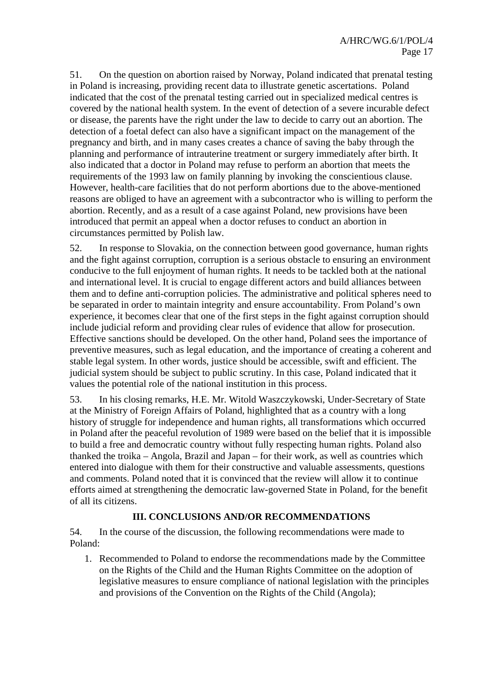51. On the question on abortion raised by Norway, Poland indicated that prenatal testing in Poland is increasing, providing recent data to illustrate genetic ascertations. Poland indicated that the cost of the prenatal testing carried out in specialized medical centres is covered by the national health system. In the event of detection of a severe incurable defect or disease, the parents have the right under the law to decide to carry out an abortion. The detection of a foetal defect can also have a significant impact on the management of the pregnancy and birth, and in many cases creates a chance of saving the baby through the planning and performance of intrauterine treatment or surgery immediately after birth. It also indicated that a doctor in Poland may refuse to perform an abortion that meets the requirements of the 1993 law on family planning by invoking the conscientious clause. However, health-care facilities that do not perform abortions due to the above-mentioned reasons are obliged to have an agreement with a subcontractor who is willing to perform the abortion. Recently, and as a result of a case against Poland, new provisions have been introduced that permit an appeal when a doctor refuses to conduct an abortion in circumstances permitted by Polish law.

52. In response to Slovakia, on the connection between good governance, human rights and the fight against corruption, corruption is a serious obstacle to ensuring an environment conducive to the full enjoyment of human rights. It needs to be tackled both at the national and international level. It is crucial to engage different actors and build alliances between them and to define anti-corruption policies. The administrative and political spheres need to be separated in order to maintain integrity and ensure accountability. From Poland's own experience, it becomes clear that one of the first steps in the fight against corruption should include judicial reform and providing clear rules of evidence that allow for prosecution. Effective sanctions should be developed. On the other hand, Poland sees the importance of preventive measures, such as legal education, and the importance of creating a coherent and stable legal system. In other words, justice should be accessible, swift and efficient. The judicial system should be subject to public scrutiny. In this case, Poland indicated that it values the potential role of the national institution in this process.

53. In his closing remarks, H.E. Mr. Witold Waszczykowski, Under-Secretary of State at the Ministry of Foreign Affairs of Poland, highlighted that as a country with a long history of struggle for independence and human rights, all transformations which occurred in Poland after the peaceful revolution of 1989 were based on the belief that it is impossible to build a free and democratic country without fully respecting human rights. Poland also thanked the troika – Angola, Brazil and Japan – for their work, as well as countries which entered into dialogue with them for their constructive and valuable assessments, questions and comments. Poland noted that it is convinced that the review will allow it to continue efforts aimed at strengthening the democratic law-governed State in Poland, for the benefit of all its citizens.

# **III. CONCLUSIONS AND/OR RECOMMENDATIONS**

54. In the course of the discussion, the following recommendations were made to Poland:

1. Recommended to Poland to endorse the recommendations made by the Committee on the Rights of the Child and the Human Rights Committee on the adoption of legislative measures to ensure compliance of national legislation with the principles and provisions of the Convention on the Rights of the Child (Angola);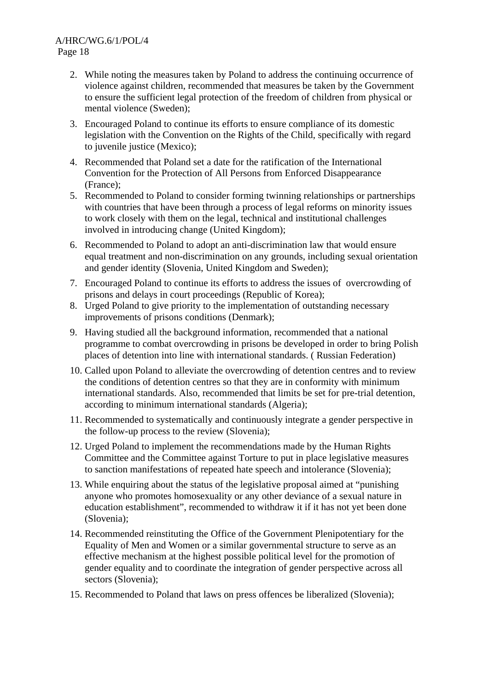#### A/HRC/WG.6/1/POL/4 Page 18

- 2. While noting the measures taken by Poland to address the continuing occurrence of violence against children, recommended that measures be taken by the Government to ensure the sufficient legal protection of the freedom of children from physical or mental violence (Sweden);
- 3. Encouraged Poland to continue its efforts to ensure compliance of its domestic legislation with the Convention on the Rights of the Child, specifically with regard to juvenile justice (Mexico);
- 4. Recommended that Poland set a date for the ratification of the International Convention for the Protection of All Persons from Enforced Disappearance (France);
- 5. Recommended to Poland to consider forming twinning relationships or partnerships with countries that have been through a process of legal reforms on minority issues to work closely with them on the legal, technical and institutional challenges involved in introducing change (United Kingdom);
- 6. Recommended to Poland to adopt an anti-discrimination law that would ensure equal treatment and non-discrimination on any grounds, including sexual orientation and gender identity (Slovenia, United Kingdom and Sweden);
- 7. Encouraged Poland to continue its efforts to address the issues of overcrowding of prisons and delays in court proceedings (Republic of Korea);
- 8. Urged Poland to give priority to the implementation of outstanding necessary improvements of prisons conditions (Denmark);
- 9. Having studied all the background information, recommended that a national programme to combat overcrowding in prisons be developed in order to bring Polish places of detention into line with international standards. ( Russian Federation)
- 10. Called upon Poland to alleviate the overcrowding of detention centres and to review the conditions of detention centres so that they are in conformity with minimum international standards. Also, recommended that limits be set for pre-trial detention, according to minimum international standards (Algeria);
- 11. Recommended to systematically and continuously integrate a gender perspective in the follow-up process to the review (Slovenia);
- 12. Urged Poland to implement the recommendations made by the Human Rights Committee and the Committee against Torture to put in place legislative measures to sanction manifestations of repeated hate speech and intolerance (Slovenia);
- 13. While enquiring about the status of the legislative proposal aimed at "punishing anyone who promotes homosexuality or any other deviance of a sexual nature in education establishment", recommended to withdraw it if it has not yet been done (Slovenia);
- 14. Recommended reinstituting the Office of the Government Plenipotentiary for the Equality of Men and Women or a similar governmental structure to serve as an effective mechanism at the highest possible political level for the promotion of gender equality and to coordinate the integration of gender perspective across all sectors (Slovenia):
- 15. Recommended to Poland that laws on press offences be liberalized (Slovenia);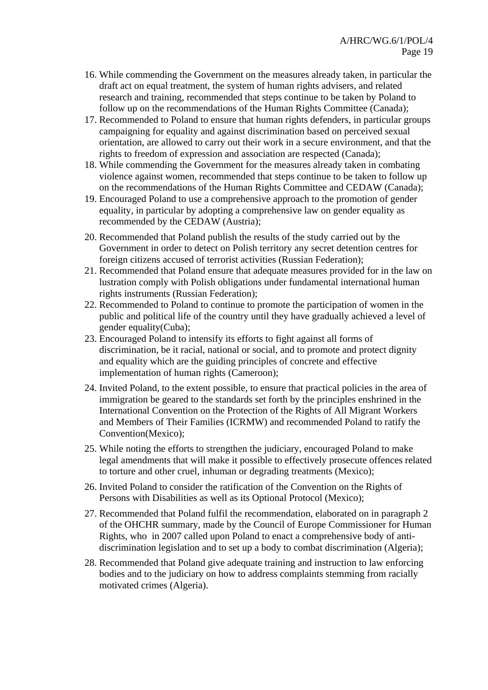- 16. While commending the Government on the measures already taken, in particular the draft act on equal treatment, the system of human rights advisers, and related research and training, recommended that steps continue to be taken by Poland to follow up on the recommendations of the Human Rights Committee (Canada);
- 17. Recommended to Poland to ensure that human rights defenders, in particular groups campaigning for equality and against discrimination based on perceived sexual orientation, are allowed to carry out their work in a secure environment, and that the rights to freedom of expression and association are respected (Canada);
- 18. While commending the Government for the measures already taken in combating violence against women, recommended that steps continue to be taken to follow up on the recommendations of the Human Rights Committee and CEDAW (Canada);
- 19. Encouraged Poland to use a comprehensive approach to the promotion of gender equality, in particular by adopting a comprehensive law on gender equality as recommended by the CEDAW (Austria);
- 20. Recommended that Poland publish the results of the study carried out by the Government in order to detect on Polish territory any secret detention centres for foreign citizens accused of terrorist activities (Russian Federation);
- 21. Recommended that Poland ensure that adequate measures provided for in the law on lustration comply with Polish obligations under fundamental international human rights instruments (Russian Federation);
- 22. Recommended to Poland to continue to promote the participation of women in the public and political life of the country until they have gradually achieved a level of gender equality(Cuba);
- 23. Encouraged Poland to intensify its efforts to fight against all forms of discrimination, be it racial, national or social, and to promote and protect dignity and equality which are the guiding principles of concrete and effective implementation of human rights (Cameroon);
- 24. Invited Poland, to the extent possible, to ensure that practical policies in the area of immigration be geared to the standards set forth by the principles enshrined in the International Convention on the Protection of the Rights of All Migrant Workers and Members of Their Families (ICRMW) and recommended Poland to ratify the Convention(Mexico);
- 25. While noting the efforts to strengthen the judiciary, encouraged Poland to make legal amendments that will make it possible to effectively prosecute offences related to torture and other cruel, inhuman or degrading treatments (Mexico);
- 26. Invited Poland to consider the ratification of the Convention on the Rights of Persons with Disabilities as well as its Optional Protocol (Mexico);
- 27. Recommended that Poland fulfil the recommendation, elaborated on in paragraph 2 of the OHCHR summary, made by the Council of Europe Commissioner for Human Rights, who in 2007 called upon Poland to enact a comprehensive body of antidiscrimination legislation and to set up a body to combat discrimination (Algeria);
- 28. Recommended that Poland give adequate training and instruction to law enforcing bodies and to the judiciary on how to address complaints stemming from racially motivated crimes (Algeria).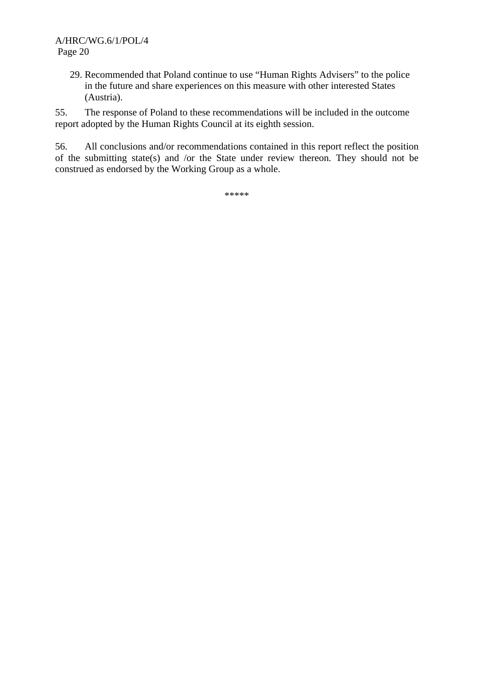29. Recommended that Poland continue to use "Human Rights Advisers" to the police in the future and share experiences on this measure with other interested States (Austria).

55. The response of Poland to these recommendations will be included in the outcome report adopted by the Human Rights Council at its eighth session.

56. All conclusions and/or recommendations contained in this report reflect the position of the submitting state(s) and /or the State under review thereon. They should not be construed as endorsed by the Working Group as a whole.

\*\*\*\*\*